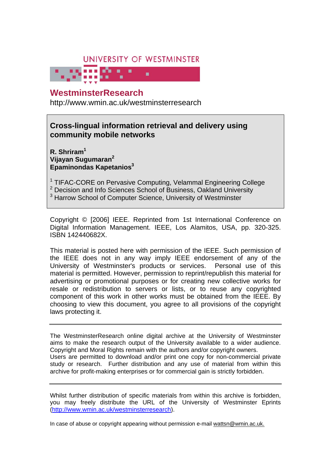# UNIVERSITY OF WESTMINSTER

# **WestminsterResearch**

http://www.wmin.ac.uk/westminsterresearch

**Cross-lingual information retrieval and delivery using community mobile networks** 

**R. Shriram1 Vijayan Sugumaran<sup>2</sup> Epaminondas Kapetanios3**

<sup>1</sup> TIFAC-CORE on Pervasive Computing, Velammal Engineering College

<sup>2</sup> Decision and Info Sciences School of Business, Oakland University

<sup>3</sup> Harrow School of Computer Science, University of Westminster

Copyright © [2006] IEEE. Reprinted from 1st International Conference on Digital Information Management. IEEE, Los Alamitos, USA, pp. 320-325. ISBN 142440682X.

This material is posted here with permission of the IEEE. Such permission of the IEEE does not in any way imply IEEE endorsement of any of the University of Westminster's products or services. Personal use of this material is permitted. However, permission to reprint/republish this material for advertising or promotional purposes or for creating new collective works for resale or redistribution to servers or lists, or to reuse any copyrighted component of this work in other works must be obtained from the IEEE. By choosing to view this document, you agree to all provisions of the copyright laws protecting it.

The WestminsterResearch online digital archive at the University of Westminster aims to make the research output of the University available to a wider audience. Copyright and Moral Rights remain with the authors and/or copyright owners. Users are permitted to download and/or print one copy for non-commercial private study or research. Further distribution and any use of material from within this archive for profit-making enterprises or for commercial gain is strictly forbidden.

Whilst further distribution of specific materials from within this archive is forbidden, you may freely distribute the URL of the University of Westminster Eprints (http://www.wmin.ac.uk/westminsterresearch).

In case of abuse or copyright appearing without permission e-mail wattsn@wmin.ac.uk.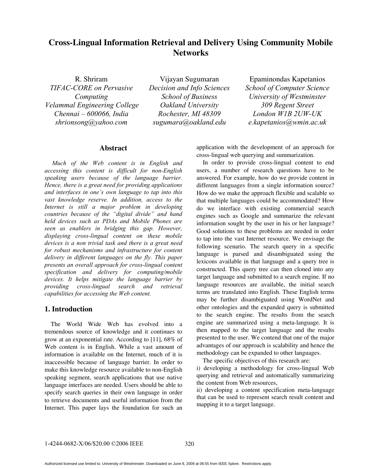## **Cross-Lingual Information Retrieval and Delivery Using Community Mobile Networks**

R. Shriram *TIFAC-CORE on Pervasive Computing Velammal Engineering College Chennai – 600066, India shrionsong@yahoo.com*

Vijayan Sugumaran *Decision and Info Sciences School of Business Oakland University Rochester, MI 48309 sugumara@oakland.edu*

Epaminondas Kapetanios *School of Computer Science University of Westminster 309 Regent Street London W1B 2UW-UK e.kapetanios@wmin.ac.uk*

#### **Abstract**

*Much of the Web content is in English and accessing this content is difficult for non-English speaking users because of the language barrier. Hence, there is a great need for providing applications and interfaces in one's own language to tap into this vast knowledge reserve. In addition, access to the Internet is still a major problem in developing countries because of the "digital divide" and hand held devices such as PDAs and Mobile Phones are seen as enablers in bridging this gap. However, displaying cross-lingual content on these mobile devices is a non trivial task and there is a great need for robust mechanisms and infrastructure for content delivery in different languages on the fly. This paper presents an overall approach for cross-lingual content specification and delivery for computing/mobile devices. It helps mitigate the language barrier by providing cross-lingual search and retrieval capabilities for accessing the Web content.*

#### **1. Introduction**

The World Wide Web has evolved into a tremendous source of knowledge and it continues to grow at an exponential rate. According to [11], 68% of Web content is in English. While a vast amount of information is available on the Internet, much of it is inaccessible because of language barrier. In order to make this knowledge resource available to non-English speaking segment, search applications that use native language interfaces are needed. Users should be able to specify search queries in their own language in order to retrieve documents and useful information from the Internet. This paper lays the foundation for such an application with the development of an approach for cross-lingual web querying and summarization.

In order to provide cross-lingual content to end users, a number of research questions have to be answered. For example, how do we provide content in different languages from a single information source? How do we make the approach flexible and scalable so that multiple languages could be accommodated? How do we interface with existing commercial search engines such as Google and summarize the relevant information sought by the user in his or her language? Good solutions to these problems are needed in order to tap into the vast Internet resource. We envisage the following scenario. The search query in a specific language is parsed and disambiguated using the lexicons available in that language and a query tree is constructed. This query tree can then cloned into any target language and submitted to a search engine. If no language resources are available, the initial search terms are translated into English. These English terms may be further disambiguated using WordNet and other ontologies and the expanded query is submitted to the search engine. The results from the search engine are summarized using a meta-language. It is then mapped to the target language and the results presented to the user. We contend that one of the major advantages of our approach is scalability and hence the methodology can be expanded to other languages.

The specific objectives of this research are:

i) developing a methodology for cross-lingual Web querying and retrieval and automatically summarizing the content from Web resources,

ii) developing a content specification meta-language that can be used to represent search result content and mapping it to a target language.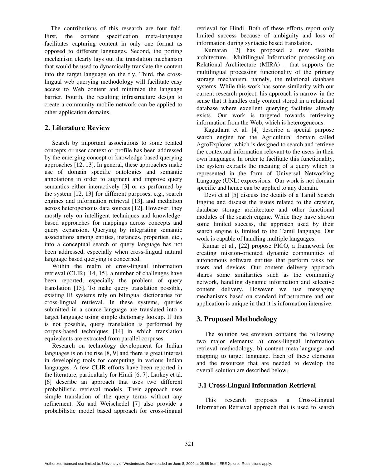The contributions of this research are four fold. First, the content specification meta-language facilitates capturing content in only one format as opposed to different languages. Second, the porting mechanism clearly lays out the translation mechanism that would be used to dynamically translate the content into the target language on the fly. Third, the crosslingual web querying methodology will facilitate easy access to Web content and minimize the language barrier. Fourth, the resulting infrastructure design to create a community mobile network can be applied to other application domains.

#### **2. Literature Review**

Search by important associations to some related concepts or user context or profile has been addressed by the emerging concept or knowledge based querying approaches [12, 13]. In general, these approaches make use of domain specific ontologies and semantic annotations in order to augment and improve query semantics either interactively [3] or as performed by the system [12, 13] for different purposes, e.g., search engines and information retrieval [13], and mediation across heterogeneous data sources [12]. However, they mostly rely on intelligent techniques and knowledgebased approaches for mappings across concepts and query expansion. Querying by integrating semantic associations among entities, instances, properties, etc., into a conceptual search or query language has not been addressed, especially when cross-lingual natural language based querying is concerned.

Within the realm of cross-lingual information retrieval (CLIR) [14, 15], a number of challenges have been reported, especially the problem of query translation [15]. To make query translation possible, existing IR systems rely on bilingual dictionaries for cross-lingual retrieval. In these systems, queries submitted in a source language are translated into a target language using simple dictionary lookup. If this is not possible, query translation is performed by corpus-based techniques [14] in which translation equivalents are extracted from parallel corpuses.

Research on technology development for Indian languages is on the rise [8, 9] and there is great interest in developing tools for computing in various Indian languages. A few CLIR efforts have been reported in the literature, particularly for Hindi [6, 7]. Larkey et al. [6] describe an approach that uses two different probabilistic retrieval models. Their approach uses simple translation of the query terms without any refinement. Xu and Weischedel [7] also provide a probabilistic model based approach for cross-lingual retrieval for Hindi. Both of these efforts report only limited success because of ambiguity and loss of information during syntactic based translation.

Kumaran [2] has proposed a new flexible architecture – Multilingual Information processing on Relational Architecture (MIRA) – that supports the multilingual processing functionality of the primary storage mechanism, namely, the relational database systems. While this work has some similarity with our current research project, his approach is narrow in the sense that it handles only content stored in a relational database where excellent querying facilities already exists. Our work is targeted towards retrieving information from the Web, which is heterogeneous.

Kagathara et al. [4] describe a special purpose search engine for the Agricultural domain called AgroExplorer, which is designed to search and retrieve the contextual information relevant to the users in their own languages. In order to facilitate this functionality, the system extracts the meaning of a query which is represented in the form of Universal Networking Language (UNL) expressions. Our work is not domain specific and hence can be applied to any domain.

Devi et al [5] discuss the details of a Tamil Search Engine and discuss the issues related to the crawler, database storage architecture and other functional modules of the search engine. While they have shown some limited success, the approach used by their search engine is limited to the Tamil language. Our work is capable of handling multiple languages.

Kumar et al., [22] propose PICO, a framework for creating mission-oriented dynamic communities of autonomous software entities that perform tasks for users and devices. Our content delivery approach shares some similarities such as the community network, handling dynamic information and selective content delivery. However we use messaging mechanisms based on standard infrastructure and our application is unique in that it is information intensive.

#### **3. Proposed Methodology**

The solution we envision contains the following two major elements: a) cross-lingual information retrieval methodology, b) content meta-language and mapping to target language. Each of these elements and the resources that are needed to develop the overall solution are described below.

#### **3.1 Cross-Lingual Information Retrieval**

This research proposes a Cross-Lingual Information Retrieval approach that is used to search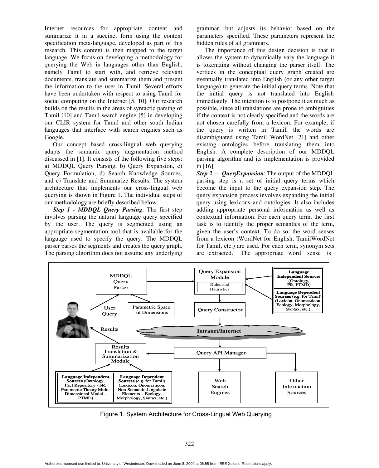Internet resources for appropriate content and summarize it in a succinct form using the content specification meta-language, developed as part of this research. This content is then mapped to the target language. We focus on developing a methodology for querying the Web in languages other than English, namely Tamil to start with, and retrieve relevant documents, translate and summarize them and present the information to the user in Tamil. Several efforts have been undertaken with respect to using Tamil for social computing on the Internet [5, 10]. Our research builds on the results in the areas of syntactic parsing of Tamil [10] and Tamil search engine [5] in developing our CLIR system for Tamil and other south Indian languages that interface with search engines such as Google.

Our concept based cross-lingual web querying adapts the semantic query augmentation method discussed in [1]. It consists of the following five steps: a) MDDQL Query Parsing, b) Query Expansion, c) Query Formulation, d) Search Knowledge Sources, and e) Translate and Summarize Results. The system architecture that implements our cross-lingual web querying is shown in Figure 1. The individual steps of our methodology are briefly described below.

*Step 1 - MDDQL Query Parsing*: The first step involves parsing the natural language query specified by the user. The query is segmented using an appropriate segmentation tool that is available for the language used to specify the query. The MDDQL parser parses the segments and creates the query graph. The parsing algorithm does not assume any underlying grammar, but adjusts its behavior based on the parameters specified. These parameters represent the hidden rules of all grammars.

The importance of this design decision is that it allows the system to dynamically vary the language it is tokenizing without changing the parser itself. The vertices in the conceptual query graph created are eventually translated into English (or any other target language) to generate the initial query terms. Note that the initial query is not translated into English immediately. The intention is to postpone it as much as possible, since all translations are prone to ambiguities if the context is not clearly specified and the words are not chosen carefully from a lexicon. For example, if the query is written in Tamil, the words are disambiguated using Tamil WordNet [21] and other existing ontologies before translating them into English. A complete description of our MDDQL parsing algorithm and its implementation is provided in [16].

*Step 2 – Query Expansion*: The output of the MDDQL parsing step is a set of initial query terms which become the input to the query expansion step. The query expansion process involves expanding the initial query using lexicons and ontologies. It also includes adding appropriate personal information as well as contextual information. For each query term, the first task is to identify the proper semantics of the term, given the user's context. To do so, the word senses from a lexicon (WordNet for English, TamilWordNet for Tamil, etc.) are used. For each term, synonym sets are extracted. The appropriate word sense is



Figure 1. System Architecture for Cross-Lingual Web Querying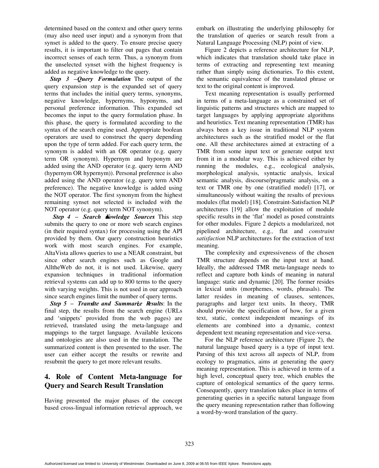determined based on the context and other query terms (may also need user input) and a synonym from that synset is added to the query. To ensure precise query results, it is important to filter out pages that contain incorrect senses of each term. Thus, a synonym from the unselected synset with the highest frequency is added as negative knowledge to the query.

*Step 3 – Query Formulation*: The output of the query expansion step is the expanded set of query terms that includes the initial query terms, synonyms, negative knowledge, hypernyms, hyponyms, and personal preference information. This expanded set becomes the input to the query formulation phase. In this phase, the query is formulated according to the syntax of the search engine used. Appropriate boolean operators are used to construct the query depending upon the type of term added. For each query term, the synonym is added with an OR operator (e.g. query term OR synonym). Hypernym and hyponym are added using the AND operator (e.g. query term AND (hypernym OR hypernym)). Personal preference is also added using the AND operator (e.g. query term AND preference). The negative knowledge is added using the NOT operator. The first synonym from the highest remaining synset not selected is included with the NOT operator (e.g. query term NOT synonym).

*Step 4 – Search Kowledge Sources* This step submits the query to one or more web search engines (in their required syntax) for processing using the API provided by them. Our query construction heuristics work with most search engines. For example, AltaVista allows queries to use a NEAR constraint, but since other search engines such as Google and AlltheWeb do not, it is not used. Likewise, query expansion techniques in traditional information retrieval systems can add up to 800 terms to the query with varying weights. This is not used in our approach since search engines limit the number of query terms.

*Step 5 – Transite and Summarize Results:* In the final step, the results from the search engine (URLs and 'snippets' provided from the web pages) are retrieved, translated using the meta-language and mappings to the target language. Available lexicons and ontologies are also used in the translation. The summarized content is then presented to the user. The user can either accept the results or rewrite and resubmit the query to get more relevant results.

## **4. Role of Content Meta-language for Query and Search Result Translation**

Having presented the major phases of the concept based cross-lingual information retrieval approach, we embark on illustrating the underlying philosophy for the translation of queries or search result from a Natural Language Processing (NLP) point of view.

Figure 2 depicts a reference architecture for NLP, which indicates that translation should take place in terms of extracting and representing text meaning rather than simply using dictionaries. To this extent, the semantic equivalence of the translated phrase or text to the original content is improved.

Text meaning representation is usually performed in terms of a meta-language as a constrained set of linguistic patterns and structures which are mapped to target languages by applying appropriate algorithms and heuristics. Text meaning representation (TMR) has always been a key issue in traditional NLP system architectures such as the stratified model or the flat one. All these architectures aimed at extracting of a TMR from some input text or generate output text from it in a modular way. This is achieved either by running the modules, e.g., ecological analysis, morphological analysis, syntactic analysis, lexical semantic analysis, discourse/pragmatic analysis, on a text or TMR one by one (stratified model) [17], or simultaneously without waiting the results of previous modules (flat model) [18]. Constraint-Satisfaction NLP architectures [19] allow the exploitation of module specific results in the 'flat' model as posed constraints for other modules. Figure 2 depicts a modularized, not pipelined architecture, e.g*.,* flat and *constraint satisfaction* NLP architectures for the extraction of text meaning.

The complexity and expressiveness of the chosen TMR structure depends on the input text at hand. Ideally, the addressed TMR meta-language needs to reflect and capture both kinds of meaning in natural language: static and dynamic [20]. The former resides in lexical units (morphemes, words, phrasals). The latter resides in meaning of clauses, sentences, paragraphs and larger text units. In theory, TMR should provide the specification of how, for a given text, static, context independent meanings of its elements are combined into a dynamic, context dependent text meaning representation and vice-versa.

For the NLP reference architecture (Figure 2), the natural language based query is a type of input text. Parsing of this text across all aspects of NLP, from ecology to pragmatics, aims at generating the query meaning representation. This is achieved in terms of a high level, conceptual query tree, which enables the capture of ontological semantics of the query terms. Consequently, query translation takes place in terms of generating queries in a specific natural language from the query meaning representation rather than following a word-by-word translation of the query.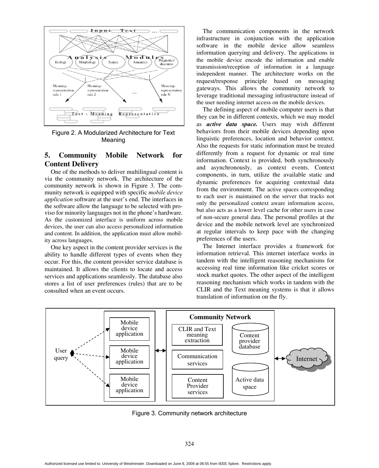

Figure 2. A Modularized Architecture for Text Meaning

### **5. Community Mobile Network for Content Delivery**

One of the methods to deliver multilingual content is via the community network. The architecture of the community network is shown in Figure 3. The community network is equipped with specific *mobile device application* software at the user's end. The interfaces in the software allow the language to be selected with proviso for minority languages not in the phone's hardware. As the customized interface is uniform across mobile devices, the user can also access personalized information and content. In addition, the application must allow mobility across languages.

One key aspect in the content provider services is the ability to handle different types of events when they occur. For this, the content provider service database is maintained. It allows the clients to locate and access services and applications seamlessly. The database also stores a list of user preferences (rules) that are to be consulted when an event occurs.

The communication components in the network infrastructure in conjunction with the application software in the mobile device allow seamless information querying and delivery. The applications in the mobile device encode the information and enable transmission/reception of information in a language independent manner. The architecture works on the request/response principle based on messaging gateways. This allows the community network to leverage traditional messaging infrastructure instead of the user needing internet access on the mobile devices.

The defining aspect of mobile computer users is that they can be in different contexts, which we may model as *active data space.* Users may wish different behaviors from their mobile devices depending upon linguistic preferences, location and behavior context. Also the requests for static information must be treated differently from a request for dynamic or real time information. Context is provided, both synchronously and asynchronously, as context events. Context components, in turn, utilize the available static and dynamic preferences for acquiring contextual data from the environment. The active spaces corresponding to each user is maintained on the server that tracks not only the personalized context aware information access, but also acts as a lower level cache for other users in case of non-secure general data. The personal profiles at the device and the mobile network level are synchronized at regular intervals to keep pace with the changing preferences of the users.

The Internet interface provides a framework for information retrieval. This internet interface works in tandem with the intelligent reasoning mechanisms for accessing real time information like cricket scores or stock market quotes. The other aspect of the intelligent reasoning mechanism which works in tandem with the CLIR and the Text meaning systems is that it allows translation of information on the fly.



Figure 3. Community network architecture